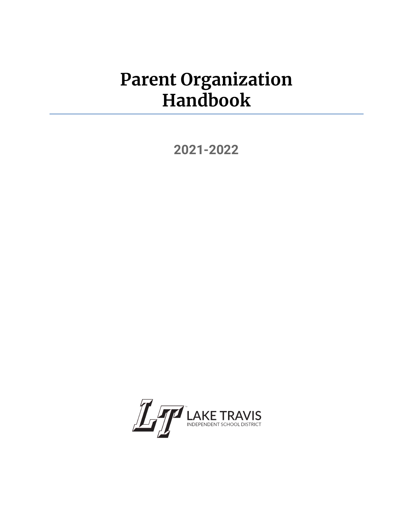# **Parent Organization Handbook**

**[2021-](#page-3-0)2022**

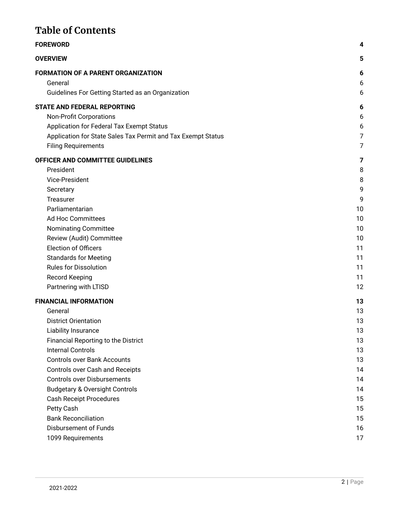# **Table of Contents**

| <b>FOREWORD</b>                                              | 4      |
|--------------------------------------------------------------|--------|
| <b>OVERVIEW</b>                                              | 5      |
| <b>FORMATION OF A PARENT ORGANIZATION</b>                    | 6      |
| General<br>Guidelines For Getting Started as an Organization | 6<br>6 |
| <b>STATE AND FEDERAL REPORTING</b>                           | 6      |
| <b>Non-Profit Corporations</b>                               | 6      |
| Application for Federal Tax Exempt Status                    | 6      |
| Application for State Sales Tax Permit and Tax Exempt Status | 7      |
| <b>Filing Requirements</b>                                   | 7      |
| OFFICER AND COMMITTEE GUIDELINES                             | 7      |
| President                                                    | 8      |
| Vice-President                                               | 8      |
| Secretary                                                    | 9      |
| Treasurer                                                    | 9      |
| Parliamentarian                                              | 10     |
| <b>Ad Hoc Committees</b>                                     | 10     |
| <b>Nominating Committee</b>                                  | 10     |
| Review (Audit) Committee                                     | 10     |
| <b>Election of Officers</b>                                  | 11     |
| <b>Standards for Meeting</b>                                 | 11     |
| <b>Rules for Dissolution</b>                                 | 11     |
| Record Keeping                                               | 11     |
| Partnering with LTISD                                        | 12     |
| <b>FINANCIAL INFORMATION</b>                                 | 13     |
| General                                                      | 13     |
| <b>District Orientation</b>                                  | 13     |
| Liability Insurance                                          | 13     |
| Financial Reporting to the District                          | 13     |
| <b>Internal Controls</b>                                     | 13     |
| <b>Controls over Bank Accounts</b>                           | 13     |
| Controls over Cash and Receipts                              | 14     |
| <b>Controls over Disbursements</b>                           | 14     |
| <b>Budgetary &amp; Oversight Controls</b>                    | 14     |
| <b>Cash Receipt Procedures</b>                               | 15     |
| Petty Cash                                                   | 15     |
| <b>Bank Reconciliation</b>                                   | 15     |
| <b>Disbursement of Funds</b>                                 | 16     |
| 1099 Requirements                                            | 17     |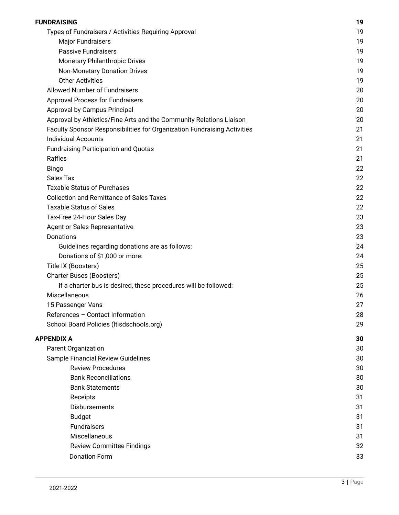| FUNDRAISING                                                              | 19 |
|--------------------------------------------------------------------------|----|
| Types of Fundraisers / Activities Requiring Approval                     | 19 |
| <b>Major Fundraisers</b>                                                 | 19 |
| <b>Passive Fundraisers</b>                                               | 19 |
| <b>Monetary Philanthropic Drives</b>                                     | 19 |
| <b>Non-Monetary Donation Drives</b>                                      | 19 |
| <b>Other Activities</b>                                                  | 19 |
| <b>Allowed Number of Fundraisers</b>                                     | 20 |
| <b>Approval Process for Fundraisers</b>                                  | 20 |
| Approval by Campus Principal                                             | 20 |
| Approval by Athletics/Fine Arts and the Community Relations Liaison      | 20 |
| Faculty Sponsor Responsibilities for Organization Fundraising Activities | 21 |
| <b>Individual Accounts</b>                                               | 21 |
| <b>Fundraising Participation and Quotas</b>                              | 21 |
| Raffles                                                                  | 21 |
| <b>Bingo</b>                                                             | 22 |
| <b>Sales Tax</b>                                                         | 22 |
| <b>Taxable Status of Purchases</b>                                       | 22 |
| <b>Collection and Remittance of Sales Taxes</b>                          | 22 |
| <b>Taxable Status of Sales</b>                                           | 22 |
| Tax-Free 24-Hour Sales Day                                               | 23 |
| Agent or Sales Representative                                            | 23 |
| Donations                                                                | 23 |
| Guidelines regarding donations are as follows:                           | 24 |
| Donations of \$1,000 or more:                                            | 24 |
| Title IX (Boosters)                                                      | 25 |
| <b>Charter Buses (Boosters)</b>                                          | 25 |
| If a charter bus is desired, these procedures will be followed:          | 25 |
| Miscellaneous                                                            | 26 |
| 15 Passenger Vans                                                        | 27 |
| References - Contact Information                                         | 28 |
| School Board Policies (Itisdschools.org)                                 | 29 |
| <b>APPENDIX A</b>                                                        | 30 |
| Parent Organization                                                      | 30 |
| Sample Financial Review Guidelines                                       | 30 |
| <b>Review Procedures</b>                                                 | 30 |
| <b>Bank Reconciliations</b>                                              | 30 |
| <b>Bank Statements</b>                                                   | 30 |
| Receipts                                                                 | 31 |
| Disbursements                                                            | 31 |
| <b>Budget</b>                                                            | 31 |
| <b>Fundraisers</b>                                                       | 31 |
| Miscellaneous                                                            | 31 |
| <b>Review Committee Findings</b>                                         | 32 |
| <b>Donation Form</b>                                                     | 33 |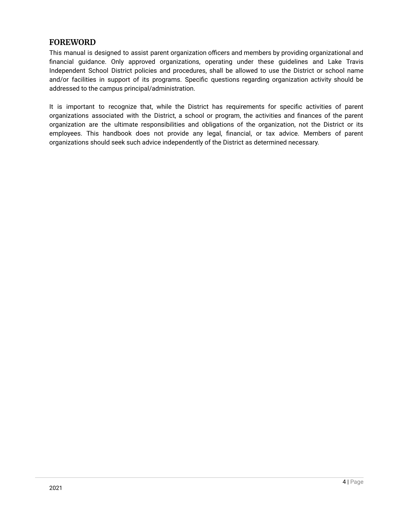# <span id="page-3-1"></span><span id="page-3-0"></span>**FOREWORD**

This manual is designed to assist parent organization officers and members by providing organizational and financial guidance. Only approved organizations, operating under these guidelines and Lake Travis Independent School District policies and procedures, shall be allowed to use the District or school name and/or facilities in support of its programs. Specific questions regarding organization activity should be addressed to the campus principal/administration.

It is important to recognize that, while the District has requirements for specific activities of parent organizations associated with the District, a school or program, the activities and finances of the parent organization are the ultimate responsibilities and obligations of the organization, not the District or its employees. This handbook does not provide any legal, financial, or tax advice. Members of parent organizations should seek such advice independently of the District as determined necessary.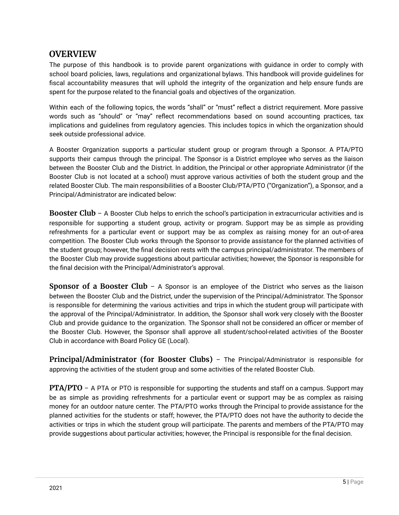# <span id="page-4-0"></span>**OVERVIEW**

The purpose of this handbook is to provide parent organizations with guidance in order to comply with school board policies, laws, regulations and organizational bylaws. This handbook will provide guidelines for fiscal accountability measures that will uphold the integrity of the organization and help ensure funds are spent for the purpose related to the financial goals and objectives of the organization.

Within each of the following topics, the words "shall" or "must" reflect a district requirement. More passive words such as "should" or "may" reflect recommendations based on sound accounting practices, tax implications and guidelines from regulatory agencies. This includes topics in which the organization should seek outside professional advice.

A Booster Organization supports a particular student group or program through a Sponsor. A PTA/PTO supports their campus through the principal. The Sponsor is a District employee who serves as the liaison between the Booster Club and the District. In addition, the Principal or other appropriate Administrator (if the Booster Club is not located at a school) must approve various activities of both the student group and the related Booster Club. The main responsibilities of a Booster Club/PTA/PTO ("Organization"), a Sponsor, and a Principal/Administrator are indicated below:

**Booster Club** – A Booster Club helps to enrich the school's participation in extracurricular activities and is responsible for supporting a student group, activity or program. Support may be as simple as providing refreshments for a particular event or support may be as complex as raising money for an out-of-area competition. The Booster Club works through the Sponsor to provide assistance for the planned activities of the student group; however, the final decision rests with the campus principal/administrator. The members of the Booster Club may provide suggestions about particular activities; however, the Sponsor is responsible for the final decision with the Principal/Administrator's approval.

**Sponsor of a Booster Club** – A Sponsor is an employee of the District who serves as the liaison between the Booster Club and the District, under the supervision of the Principal/Administrator. The Sponsor is responsible for determining the various activities and trips in which the student group will participate with the approval of the Principal/Administrator. In addition, the Sponsor shall work very closely with the Booster Club and provide guidance to the organization. The Sponsor shall not be considered an officer or member of the Booster Club. However, the Sponsor shall approve all student/school-related activities of the Booster Club in accordance with Board Policy GE (Local).

**Principal/Administrator (for Booster Clubs)** – The Principal/Administrator is responsible for approving the activities of the student group and some activities of the related Booster Club.

**PTA/PTO** – A PTA or PTO is responsible for supporting the students and staff on a campus. Support may be as simple as providing refreshments for a particular event or support may be as complex as raising money for an outdoor nature center. The PTA/PTO works through the Principal to provide assistance for the planned activities for the students or staff; however, the PTA/PTO does not have the authority to decide the activities or trips in which the student group will participate. The parents and members of the PTA/PTO may provide suggestions about particular activities; however, the Principal is responsible for the final decision.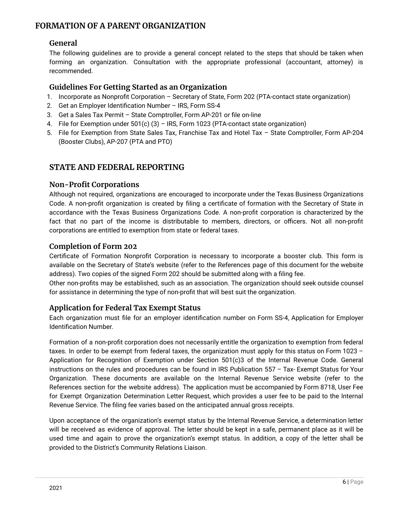# <span id="page-5-1"></span><span id="page-5-0"></span>**FORMATION OF A PARENT ORGANIZATION**

# **General**

The following guidelines are to provide a general concept related to the steps that should be taken when forming an organization. Consultation with the appropriate professional (accountant, attorney) is recommended.

# <span id="page-5-2"></span>**Guidelines For Getting Started as an Organization**

- 1. Incorporate as Nonprofit Corporation Secretary of State, Form 202 (PTA-contact state organization)
- 2. Get an Employer Identification Number IRS, Form SS-4
- 3. Get a Sales Tax Permit State Comptroller, Form AP-201 or file on-line
- 4. File for Exemption under 501(c) (3) IRS, Form 1023 (PTA-contact state organization)
- 5. File for Exemption from State Sales Tax, Franchise Tax and Hotel Tax State Comptroller, Form AP-204 (Booster Clubs), AP-207 (PTA and PTO)

# <span id="page-5-3"></span>**STATE AND FEDERAL REPORTING**

# <span id="page-5-4"></span>**Non-Profit Corporations**

Although not required, organizations are encouraged to incorporate under the Texas Business Organizations Code. A non-profit organization is created by filing a certificate of formation with the Secretary of State in accordance with the Texas Business Organizations Code. A non-profit corporation is characterized by the fact that no part of the income is distributable to members, directors, or officers. Not all non-profit corporations are entitled to exemption from state or federal taxes.

# **Completion of Form 202**

Certificate of Formation Nonprofit Corporation is necessary to incorporate a booster club. This form is available on the Secretary of State's website (refer to the References page of this document for the website address). Two copies of the signed Form 202 should be submitted along with a filing fee.

Other non-profits may be established, such as an association. The organization should seek outside counsel for assistance in determining the type of non-profit that will best suit the organization.

# <span id="page-5-5"></span>**Application for Federal Tax Exempt Status**

Each organization must file for an employer identification number on Form SS-4, Application for Employer Identification Number.

Formation of a non-profit corporation does not necessarily entitle the organization to exemption from federal taxes. In order to be exempt from federal taxes, the organization must apply for this status on Form 1023 – Application for Recognition of Exemption under Section 501(c)3 of the Internal Revenue Code. General instructions on the rules and procedures can be found in IRS Publication 557 – Tax- Exempt Status for Your Organization. These documents are available on the Internal Revenue Service website (refer to the References section for the website address). The application must be accompanied by Form 8718, User Fee for Exempt Organization Determination Letter Request, which provides a user fee to be paid to the Internal Revenue Service. The filing fee varies based on the anticipated annual gross receipts.

Upon acceptance of the organization's exempt status by the Internal Revenue Service, a determination letter will be received as evidence of approval. The letter should be kept in a safe, permanent place as it will be used time and again to prove the organization's exempt status. In addition, a copy of the letter shall be provided to the District's Community Relations Liaison.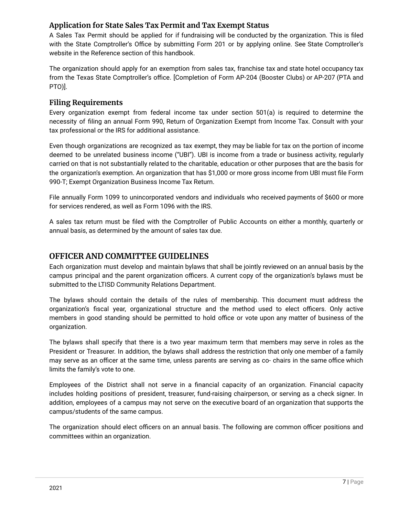# <span id="page-6-0"></span>**Application for State Sales Tax Permit and Tax Exempt Status**

A Sales Tax Permit should be applied for if fundraising will be conducted by the organization. This is filed with the State Comptroller's Office by submitting Form 201 or by applying online. See State Comptroller's website in the Reference section of this handbook.

The organization should apply for an exemption from sales tax, franchise tax and state hotel occupancy tax from the Texas State Comptroller's office. [Completion of Form AP-204 (Booster Clubs) or AP-207 (PTA and PTO)].

# <span id="page-6-1"></span>**Filing Requirements**

Every organization exempt from federal income tax under section 501(a) is required to determine the necessity of filing an annual Form 990, Return of Organization Exempt from Income Tax. Consult with your tax professional or the IRS for additional assistance.

Even though organizations are recognized as tax exempt, they may be liable for tax on the portion of income deemed to be unrelated business income ("UBI"). UBI is income from a trade or business activity, regularly carried on that is not substantially related to the charitable, education or other purposes that are the basis for the organization's exemption. An organization that has \$1,000 or more gross income from UBI must file Form 990-T; Exempt Organization Business Income Tax Return.

 for services rendered, as well as Form 1096 with the IRS. File annually Form 1099 to unincorporated vendors and individuals who received payments of \$600 or more

 annual basis, as determined by the amount of sales tax due. A sales tax return must be filed with the Comptroller of Public Accounts on either a monthly, quarterly or

# <span id="page-6-2"></span>**OFFICER AND COMMITTEE GUIDELINES**

Each organization must develop and maintain bylaws that shall be jointly reviewed on an annual basis by the campus principal and the parent organization officers. A current copy of the organization's bylaws must be submitted to the LTISD Community Relations Department.

The bylaws should contain the details of the rules of membership. This document must address the organization's fiscal year, organizational structure and the method used to elect officers. Only active members in good standing should be permitted to hold office or vote upon any matter of business of the organization.

The bylaws shall specify that there is a two year maximum term that members may serve in roles as the President or Treasurer. In addition, the bylaws shall address the restriction that only one member of a family may serve as an officer at the same time, unless parents are serving as co- chairs in the same office which limits the family's vote to one.

Employees of the District shall not serve in a financial capacity of an organization. Financial capacity includes holding positions of president, treasurer, fund-raising chairperson, or serving as a check signer. In addition, employees of a campus may not serve on the executive board of an organization that supports the campus/students of the same campus.

The organization should elect officers on an annual basis. The following are common officer positions and committees within an organization.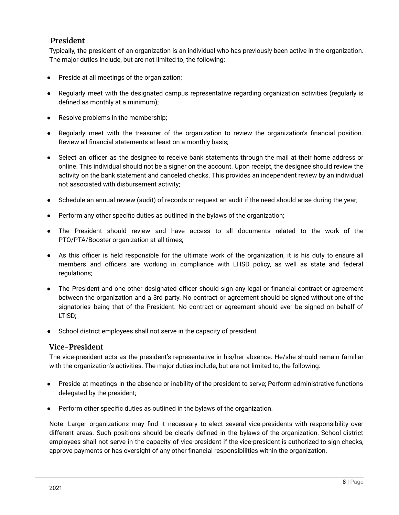# <span id="page-7-0"></span>**President**

Typically, the president of an organization is an individual who has previously been active in the organization. The major duties include, but are not limited to, the following:

- Preside at all meetings of the organization;
- Regularly meet with the designated campus representative regarding organization activities (regularly is defined as monthly at a minimum);
- Resolve problems in the membership;
- Regularly meet with the treasurer of the organization to review the organization's financial position. Review all financial statements at least on a monthly basis;
- Select an officer as the designee to receive bank statements through the mail at their home address or online. This individual should not be a signer on the account. Upon receipt, the designee should review the activity on the bank statement and canceled checks. This provides an independent review by an individual not associated with disbursement activity;
- Schedule an annual review (audit) of records or request an audit if the need should arise during the year;
- Perform any other specific duties as outlined in the bylaws of the organization;
- The President should review and have access to all documents related to the work of the PTO/PTA/Booster organization at all times;
- As this officer is held responsible for the ultimate work of the organization, it is his duty to ensure all members and officers are working in compliance with LTISD policy, as well as state and federal regulations;
- The President and one other designated officer should sign any legal or financial contract or agreement between the organization and a 3rd party. No contract or agreement should be signed without one of the signatories being that of the President. No contract or agreement should ever be signed on behalf of LTISD;
- School district employees shall not serve in the capacity of president.

### <span id="page-7-1"></span>**Vice-President**

The vice-president acts as the president's representative in his/her absence. He/she should remain familiar with the organization's activities. The major duties include, but are not limited to, the following:

- Preside at meetings in the absence or inability of the president to serve; Perform administrative functions delegated by the president;
- Perform other specific duties as outlined in the bylaws of the organization.

 approve payments or has oversight of any other financial responsibilities within the organization. Note: Larger organizations may find it necessary to elect several vice-presidents with responsibility over different areas. Such positions should be clearly defined in the bylaws of the organization. School district employees shall not serve in the capacity of vice-president if the vice-president is authorized to sign checks,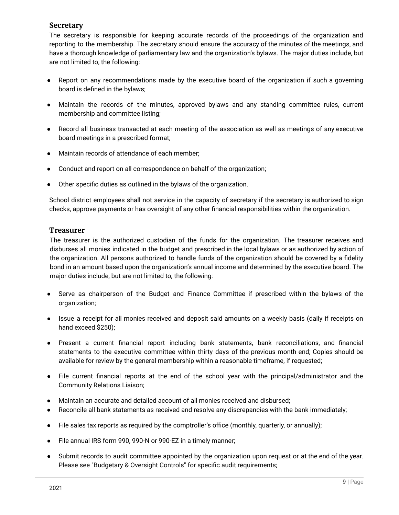# <span id="page-8-0"></span>**Secretary**

The secretary is responsible for keeping accurate records of the proceedings of the organization and reporting to the membership. The secretary should ensure the accuracy of the minutes of the meetings, and have a thorough knowledge of parliamentary law and the organization's bylaws. The major duties include, but are not limited to, the following:

- Report on any recommendations made by the executive board of the organization if such a governing board is defined in the bylaws;
- Maintain the records of the minutes, approved bylaws and any standing committee rules, current membership and committee listing;
- Record all business transacted at each meeting of the association as well as meetings of any executive board meetings in a prescribed format;
- Maintain records of attendance of each member;
- Conduct and report on all correspondence on behalf of the organization;
- Other specific duties as outlined in the bylaws of the organization.

 checks, approve payments or has oversight of any other financial responsibilities within the organization. School district employees shall not service in the capacity of secretary if the secretary is authorized to sign

### <span id="page-8-1"></span>**Treasurer**

The treasurer is the authorized custodian of the funds for the organization. The treasurer receives and disburses all monies indicated in the budget and prescribed in the local bylaws or as authorized by action of the organization. All persons authorized to handle funds of the organization should be covered by a fidelity bond in an amount based upon the organization's annual income and determined by the executive board. The major duties include, but are not limited to, the following:

- Serve as chairperson of the Budget and Finance Committee if prescribed within the bylaws of the organization;
- Issue a receipt for all monies received and deposit said amounts on a weekly basis (daily if receipts on hand exceed \$250);
- Present a current financial report including bank statements, bank reconciliations, and financial statements to the executive committee within thirty days of the previous month end; Copies should be available for review by the general membership within a reasonable timeframe, if requested;
- File current financial reports at the end of the school year with the principal/administrator and the Community Relations Liaison;
- Maintain an accurate and detailed account of all monies received and disbursed;
- Reconcile all bank statements as received and resolve any discrepancies with the bank immediately;
- File sales tax reports as required by the comptroller's office (monthly, quarterly, or annually);
- File annual IRS form 990, 990-N or 990-EZ in a timely manner;
- Submit records to audit committee appointed by the organization upon request or at the end of the year. Please see "Budgetary & Oversight Controls" for specific audit requirements;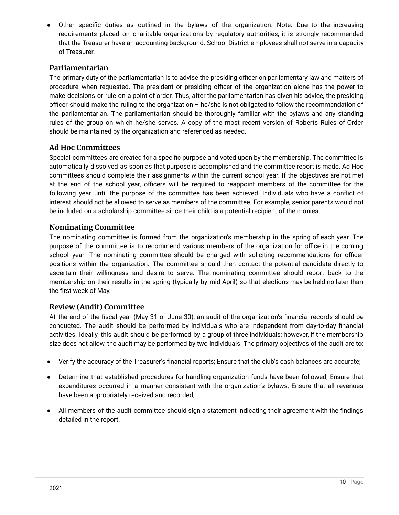● Other specific duties as outlined in the bylaws of the organization. Note: Due to the increasing requirements placed on charitable organizations by regulatory authorities, it is strongly recommended that the Treasurer have an accounting background. School District employees shall not serve in a capacity of Treasurer.

# <span id="page-9-0"></span>**Parliamentarian**

The primary duty of the parliamentarian is to advise the presiding officer on parliamentary law and matters of procedure when requested. The president or presiding officer of the organization alone has the power to make decisions or rule on a point of order. Thus, after the parliamentarian has given his advice, the presiding officer should make the ruling to the organization – he/she is not obligated to follow the recommendation of the parliamentarian. The parliamentarian should be thoroughly familiar with the bylaws and any standing rules of the group on which he/she serves. A copy of the most recent version of Roberts Rules of Order should be maintained by the organization and referenced as needed.

### <span id="page-9-1"></span>**Ad Hoc Committees**

Special committees are created for a specific purpose and voted upon by the membership. The committee is automatically dissolved as soon as that purpose is accomplished and the committee report is made. Ad Hoc committees should complete their assignments within the current school year. If the objectives are not met at the end of the school year, officers will be required to reappoint members of the committee for the following year until the purpose of the committee has been achieved. Individuals who have a conflict of interest should not be allowed to serve as members of the committee. For example, senior parents would not be included on a scholarship committee since their child is a potential recipient of the monies.

### <span id="page-9-2"></span>**Nominating Committee**

The nominating committee is formed from the organization's membership in the spring of each year. The purpose of the committee is to recommend various members of the organization for office in the coming school year. The nominating committee should be charged with soliciting recommendations for officer positions within the organization. The committee should then contact the potential candidate directly to ascertain their willingness and desire to serve. The nominating committee should report back to the membership on their results in the spring (typically by mid-April) so that elections may be held no later than the first week of May.

# <span id="page-9-3"></span>**Review (Audit) Committee**

At the end of the fiscal year (May 31 or June 30), an audit of the organization's financial records should be conducted. The audit should be performed by individuals who are independent from day-to-day financial activities. Ideally, this audit should be performed by a group of three individuals; however, if the membership size does not allow, the audit may be performed by two individuals. The primary objectives of the audit are to:

- Verify the accuracy of the Treasurer's financial reports; Ensure that the club's cash balances are accurate;
- Determine that established procedures for handling organization funds have been followed; Ensure that expenditures occurred in a manner consistent with the organization's bylaws; Ensure that all revenues have been appropriately received and recorded;
- All members of the audit committee should sign a statement indicating their agreement with the findings detailed in the report.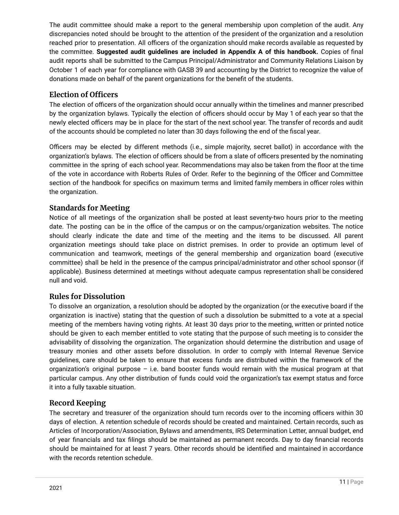The audit committee should make a report to the general membership upon completion of the audit. Any discrepancies noted should be brought to the attention of the president of the organization and a resolution reached prior to presentation. All officers of the organization should make records available as requested by the committee. **Suggested audit guidelines are included in Appendix A of this handbook.** Copies of final audit reports shall be submitted to the Campus Principal/Administrator and Community Relations Liaison by October 1 of each year for compliance with GASB 39 and accounting by the District to recognize the value of donations made on behalf of the parent organizations for the benefit of the students.

# <span id="page-10-0"></span>**Election of Officers**

 of the accounts should be completed no later than 30 days following the end of the fiscal year. The election of officers of the organization should occur annually within the timelines and manner prescribed by the organization bylaws. Typically the election of officers should occur by May 1 of each year so that the newly elected officers may be in place for the start of the next school year. The transfer of records and audit

Officers may be elected by different methods (i.e., simple majority, secret ballot) in accordance with the organization's bylaws. The election of officers should be from a slate of officers presented by the nominating committee in the spring of each school year. Recommendations may also be taken from the floor at the time of the vote in accordance with Roberts Rules of Order. Refer to the beginning of the Officer and Committee section of the handbook for specifics on maximum terms and limited family members in officer roles within the organization.

# <span id="page-10-1"></span>**Standards for Meeting**

Notice of all meetings of the organization shall be posted at least seventy-two hours prior to the meeting date. The posting can be in the office of the campus or on the campus/organization websites. The notice should clearly indicate the date and time of the meeting and the items to be discussed. All parent organization meetings should take place on district premises. In order to provide an optimum level of communication and teamwork, meetings of the general membership and organization board (executive committee) shall be held in the presence of the campus principal/administrator and other school sponsor (if applicable). Business determined at meetings without adequate campus representation shall be considered null and void.

# <span id="page-10-2"></span>**Rules for Dissolution**

To dissolve an organization, a resolution should be adopted by the organization (or the executive board if the organization is inactive) stating that the question of such a dissolution be submitted to a vote at a special meeting of the members having voting rights. At least 30 days prior to the meeting, written or printed notice should be given to each member entitled to vote stating that the purpose of such meeting is to consider the advisability of dissolving the organization. The organization should determine the distribution and usage of treasury monies and other assets before dissolution. In order to comply with Internal Revenue Service guidelines, care should be taken to ensure that excess funds are distributed within the framework of the organization's original purpose – i.e. band booster funds would remain with the musical program at that particular campus. Any other distribution of funds could void the organization's tax exempt status and force it into a fully taxable situation.

# <span id="page-10-3"></span>**Record Keeping**

The secretary and treasurer of the organization should turn records over to the incoming officers within 30 days of election. A retention schedule of records should be created and maintained. Certain records, such as Articles of Incorporation/Association, Bylaws and amendments, IRS Determination Letter, annual budget, end of year financials and tax filings should be maintained as permanent records. Day to day financial records should be maintained for at least 7 years. Other records should be identified and maintained in accordance with the records retention schedule.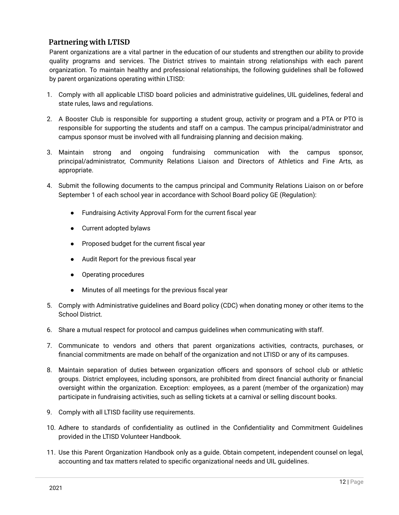# <span id="page-11-0"></span>**Partnering with LTISD**

Parent organizations are a vital partner in the education of our students and strengthen our ability to provide quality programs and services. The District strives to maintain strong relationships with each parent organization. To maintain healthy and professional relationships, the following guidelines shall be followed by parent organizations operating within LTISD:

- 1. Comply with all applicable LTISD board policies and administrative guidelines, UIL guidelines, federal and state rules, laws and regulations.
- 2. A Booster Club is responsible for supporting a student group, activity or program and a PTA or PTO is responsible for supporting the students and staff on a campus. The campus principal/administrator and campus sponsor must be involved with all fundraising planning and decision making.
- 3. Maintain strong and ongoing fundraising communication with the campus sponsor, principal/administrator, Community Relations Liaison and Directors of Athletics and Fine Arts, as appropriate.
- 4. Submit the following documents to the campus principal and Community Relations Liaison on or before September 1 of each school year in accordance with School Board policy GE (Regulation):
	- Fundraising Activity Approval Form for the current fiscal year
	- Current adopted bylaws
	- Proposed budget for the current fiscal year
	- Audit Report for the previous fiscal year
	- Operating procedures
	- Minutes of all meetings for the previous fiscal year
- 5. Comply with Administrative guidelines and Board policy (CDC) when donating money or other items to the School District.
- 6. Share a mutual respect for protocol and campus guidelines when communicating with staff.
- 7. Communicate to vendors and others that parent organizations activities, contracts, purchases, or financial commitments are made on behalf of the organization and not LTISD or any of its campuses.
- 8. Maintain separation of duties between organization officers and sponsors of school club or athletic groups. District employees, including sponsors, are prohibited from direct financial authority or financial oversight within the organization. Exception: employees, as a parent (member of the organization) may participate in fundraising activities, such as selling tickets at a carnival or selling discount books.
- 9. Comply with all LTISD facility use requirements.
- 10. Adhere to standards of confidentiality as outlined in the Confidentiality and Commitment Guidelines provided in the LTISD Volunteer Handbook.
- accounting and tax matters related to specific organizational needs and UIL guidelines. 11. Use this Parent Organization Handbook only as a guide. Obtain competent, independent counsel on legal,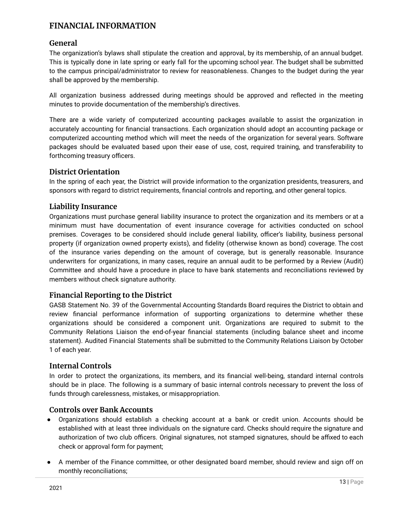# <span id="page-12-0"></span>**FINANCIAL INFORMATION**

# <span id="page-12-1"></span>**General**

The organization's bylaws shall stipulate the creation and approval, by its membership, of an annual budget. This is typically done in late spring or early fall for the upcoming school year. The budget shall be submitted to the campus principal/administrator to review for reasonableness. Changes to the budget during the year shall be approved by the membership.

All organization business addressed during meetings should be approved and reflected in the meeting minutes to provide documentation of the membership's directives.

There are a wide variety of computerized accounting packages available to assist the organization in accurately accounting for financial transactions. Each organization should adopt an accounting package or computerized accounting method which will meet the needs of the organization for several years. Software packages should be evaluated based upon their ease of use, cost, required training, and transferability to forthcoming treasury officers.

# <span id="page-12-2"></span>**District Orientation**

In the spring of each year, the District will provide information to the organization presidents, treasurers, and sponsors with regard to district requirements, financial controls and reporting, and other general topics.

# <span id="page-12-3"></span>**Liability Insurance**

Organizations must purchase general liability insurance to protect the organization and its members or at a minimum must have documentation of event insurance coverage for activities conducted on school premises. Coverages to be considered should include general liability, officer's liability, business personal property (if organization owned property exists), and fidelity (otherwise known as bond) coverage. The cost of the insurance varies depending on the amount of coverage, but is generally reasonable. Insurance underwriters for organizations, in many cases, require an annual audit to be performed by a Review (Audit) Committee and should have a procedure in place to have bank statements and reconciliations reviewed by members without check signature authority.

# <span id="page-12-4"></span>**Financial Reporting to the District**

GASB Statement No. 39 of the Governmental Accounting Standards Board requires the District to obtain and review financial performance information of supporting organizations to determine whether these organizations should be considered a component unit. Organizations are required to submit to the Community Relations Liaison the end-of-year financial statements (including balance sheet and income statement). Audited Financial Statements shall be submitted to the Community Relations Liaison by October 1 of each year.

# <span id="page-12-5"></span>**Internal Controls**

In order to protect the organizations, its members, and its financial well-being, standard internal controls should be in place. The following is a summary of basic internal controls necessary to prevent the loss of funds through carelessness, mistakes, or misappropriation.

# <span id="page-12-6"></span>**Controls over Bank Accounts**

- Organizations should establish a checking account at a bank or credit union. Accounts should be established with at least three individuals on the signature card. Checks should require the signature and authorization of two club officers. Original signatures, not stamped signatures, should be affixed to each check or approval form for payment;
- A member of the Finance committee, or other designated board member, should review and sign off on monthly reconciliations;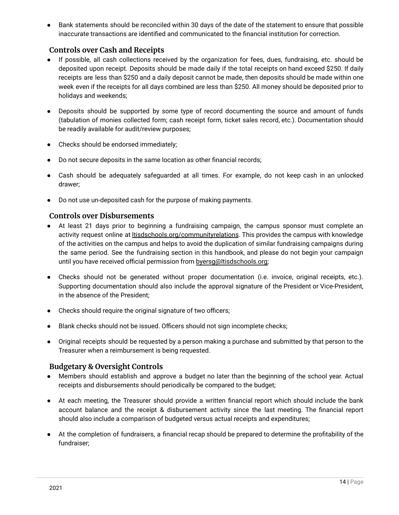● Bank statements should be reconciled within 30 days of the date of the statement to ensure that possible inaccurate transactions are identified and communicated to the financial institution for correction.

# <span id="page-13-0"></span>**Controls over Cash and Receipts**

- If possible, all cash collections received by the organization for fees, dues, fundraising, etc. should be deposited upon receipt. Deposits should be made daily if the total receipts on hand exceed \$250. If daily receipts are less than \$250 and a daily deposit cannot be made, then deposits should be made within one week even if the receipts for all days combined are less than \$250. All money should be deposited prior to holidays and weekends;
- Deposits should be supported by some type of record documenting the source and amount of funds (tabulation of monies collected form; cash receipt form, ticket sales record, etc.). Documentation should be readily available for audit/review purposes;
- Checks should be endorsed immediately;
- Do not secure deposits in the same location as other financial records;
- Cash should be adequately safeguarded at all times. For example, do not keep cash in an unlocked drawer;
- Do not use un-deposited cash for the purpose of making payments.

### <span id="page-13-1"></span>**Controls over Disbursements**

- At least 21 days prior to beginning a fundraising campaign, the campus sponsor must complete an activity request online at *[ltisdschools.org/communityrelations](http://www.ltisdschools.org/communityrelations)*. This provides the campus with knowledge of the activities on the campus and helps to avoid the duplication of similar fundraising campaigns during the same period. See the fundraising section in this handbook, and please do not begin your campaign until you have received official permission from [byersg@ltisdschools.org;](mailto:byersg@ltisdschools.org)
- Checks should not be generated without proper documentation (i.e. invoice, original receipts, etc.). Supporting documentation should also include the approval signature of the President or Vice-President, in the absence of the President;
- Checks should require the original signature of two officers;
- Blank checks should not be issued. Officers should not sign incomplete checks;
- Original receipts should be requested by a person making a purchase and submitted by that person to the Treasurer when a reimbursement is being requested.

# <span id="page-13-2"></span>**Budgetary & Oversight Controls**

- Members should establish and approve a budget no later than the beginning of the school year. Actual receipts and disbursements should periodically be compared to the budget;
- At each meeting, the Treasurer should provide a written financial report which should include the bank account balance and the receipt & disbursement activity since the last meeting. The financial report should also include a comparison of budgeted versus actual receipts and expenditures;
- At the completion of fundraisers, a financial recap should be prepared to determine the profitability of the fundraiser;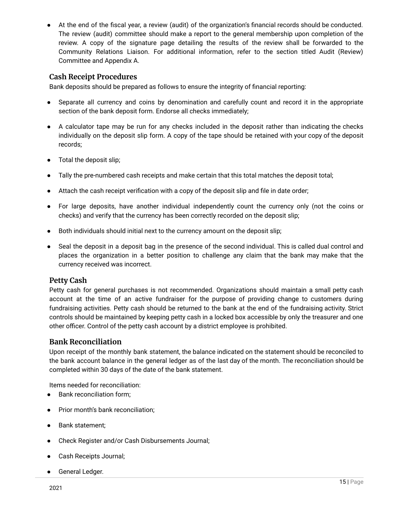● At the end of the fiscal year, a review (audit) of the organization's financial records should be conducted. The review (audit) committee should make a report to the general membership upon completion of the review. A copy of the signature page detailing the results of the review shall be forwarded to the Community Relations Liaison. For additional information, refer to the section titled Audit (Review) Committee and Appendix A.

### <span id="page-14-0"></span>**Cash Receipt Procedures**

Bank deposits should be prepared as follows to ensure the integrity of financial reporting:

- Separate all currency and coins by denomination and carefully count and record it in the appropriate section of the bank deposit form. Endorse all checks immediately;
- A calculator tape may be run for any checks included in the deposit rather than indicating the checks individually on the deposit slip form. A copy of the tape should be retained with your copy of the deposit records;
- Total the deposit slip;
- Tally the pre-numbered cash receipts and make certain that this total matches the deposit total;
- Attach the cash receipt verification with a copy of the deposit slip and file in date order;
- For large deposits, have another individual independently count the currency only (not the coins or checks) and verify that the currency has been correctly recorded on the deposit slip;
- Both individuals should initial next to the currency amount on the deposit slip;
- Seal the deposit in a deposit bag in the presence of the second individual. This is called dual control and places the organization in a better position to challenge any claim that the bank may make that the currency received was incorrect.

# <span id="page-14-1"></span>**Petty Cash**

Petty cash for general purchases is not recommended. Organizations should maintain a small petty cash account at the time of an active fundraiser for the purpose of providing change to customers during fundraising activities. Petty cash should be returned to the bank at the end of the fundraising activity. Strict controls should be maintained by keeping petty cash in a locked box accessible by only the treasurer and one other officer. Control of the petty cash account by a district employee is prohibited.

### <span id="page-14-2"></span>**Bank Reconciliation**

 completed within 30 days of the date of the bank statement. Upon receipt of the monthly bank statement, the balance indicated on the statement should be reconciled to the bank account balance in the general ledger as of the last day of the month. The reconciliation should be

Items needed for reconciliation:

- Bank reconciliation form;
- Prior month's bank reconciliation;
- Bank statement;
- Check Register and/or Cash Disbursements Journal;
- Cash Receipts Journal;
- General Ledger.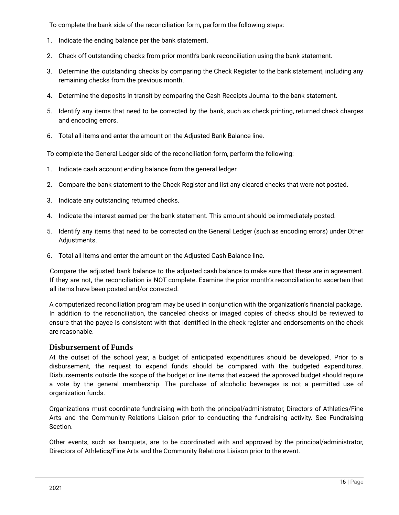To complete the bank side of the reconciliation form, perform the following steps:

- 1. Indicate the ending balance per the bank statement.
- 2. Check off outstanding checks from prior month's bank reconciliation using the bank statement.
- 3. Determine the outstanding checks by comparing the Check Register to the bank statement, including any remaining checks from the previous month.
- 4. Determine the deposits in transit by comparing the Cash Receipts Journal to the bank statement.
- 5. Identify any items that need to be corrected by the bank, such as check printing, returned check charges and encoding errors.
- 6. Total all items and enter the amount on the Adjusted Bank Balance line.

To complete the General Ledger side of the reconciliation form, perform the following:

- 1. Indicate cash account ending balance from the general ledger.
- 2. Compare the bank statement to the Check Register and list any cleared checks that were not posted.
- 3. Indicate any outstanding returned checks.
- 4. Indicate the interest earned per the bank statement. This amount should be immediately posted.
- 5. Identify any items that need to be corrected on the General Ledger (such as encoding errors) under Other Adjustments.
- 6. Total all items and enter the amount on the Adjusted Cash Balance line.

Compare the adjusted bank balance to the adjusted cash balance to make sure that these are in agreement. If they are not, the reconciliation is NOT complete. Examine the prior month's reconciliation to ascertain that all items have been posted and/or corrected.

A computerized reconciliation program may be used in conjunction with the organization's financial package. In addition to the reconciliation, the canceled checks or imaged copies of checks should be reviewed to ensure that the payee is consistent with that identified in the check register and endorsements on the check are reasonable.

### <span id="page-15-0"></span>**Disbursement of Funds**

At the outset of the school year, a budget of anticipated expenditures should be developed. Prior to a disbursement, the request to expend funds should be compared with the budgeted expenditures. Disbursements outside the scope of the budget or line items that exceed the approved budget should require a vote by the general membership. The purchase of alcoholic beverages is not a permitted use of organization funds.

Organizations must coordinate fundraising with both the principal/administrator, Directors of Athletics/Fine Arts and the Community Relations Liaison prior to conducting the fundraising activity. See Fundraising Section.

Other events, such as banquets, are to be coordinated with and approved by the principal/administrator, Directors of Athletics/Fine Arts and the Community Relations Liaison prior to the event.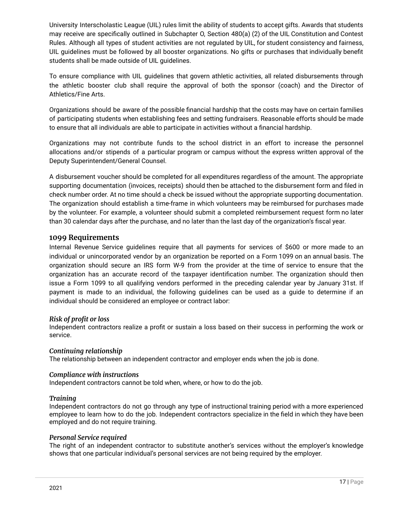University Interscholastic League (UIL) rules limit the ability of students to accept gifts. Awards that students may receive are specifically outlined in Subchapter O, Section 480(a) (2) of the UIL Constitution and Contest Rules. Although all types of student activities are not regulated by UIL, for student consistency and fairness, UIL guidelines must be followed by all booster organizations. No gifts or purchases that individually benefit students shall be made outside of UIL guidelines.

To ensure compliance with UIL guidelines that govern athletic activities, all related disbursements through the athletic booster club shall require the approval of both the sponsor (coach) and the Director of Athletics/Fine Arts.

Organizations should be aware of the possible financial hardship that the costs may have on certain families of participating students when establishing fees and setting fundraisers. Reasonable efforts should be made to ensure that all individuals are able to participate in activities without a financial hardship.

Organizations may not contribute funds to the school district in an effort to increase the personnel allocations and/or stipends of a particular program or campus without the express written approval of the Deputy Superintendent/General Counsel.

A disbursement voucher should be completed for all expenditures regardless of the amount. The appropriate supporting documentation (invoices, receipts) should then be attached to the disbursement form and filed in check number order. At no time should a check be issued without the appropriate supporting documentation. The organization should establish a time-frame in which volunteers may be reimbursed for purchases made by the volunteer. For example, a volunteer should submit a completed reimbursement request form no later than 30 calendar days after the purchase, and no later than the last day of the organization's fiscal year.

### <span id="page-16-0"></span>**1099 Requirements**

Internal Revenue Service guidelines require that all payments for services of \$600 or more made to an individual or unincorporated vendor by an organization be reported on a Form 1099 on an annual basis. The organization should secure an IRS form W-9 from the provider at the time of service to ensure that the organization has an accurate record of the taxpayer identification number. The organization should then issue a Form 1099 to all qualifying vendors performed in the preceding calendar year by January 31st. If payment is made to an individual, the following guidelines can be used as a guide to determine if an individual should be considered an employee or contract labor:

### *Risk of profit or loss*

Independent contractors realize a profit or sustain a loss based on their success in performing the work or service.

### *Continuing relationship*

The relationship between an independent contractor and employer ends when the job is done.

### *Compliance with instructions*

Independent contractors cannot be told when, where, or how to do the job.

### *Training*

Independent contractors do not go through any type of instructional training period with a more experienced employee to learn how to do the job. Independent contractors specialize in the field in which they have been employed and do not require training.

### *Personal Service required*

The right of an independent contractor to substitute another's services without the employer's knowledge shows that one particular individual's personal services are not being required by the employer.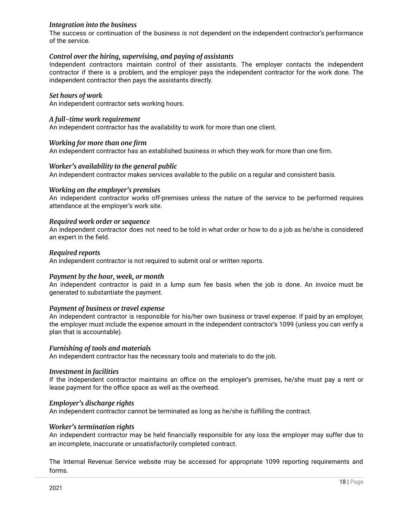### *Integration into the business*

The success or continuation of the business is not dependent on the independent contractor's performance of the service.

### *Control over the hiring, supervising, and paying of assistants*

Independent contractors maintain control of their assistants. The employer contacts the independent contractor if there is a problem, and the employer pays the independent contractor for the work done. The independent contractor then pays the assistants directly.

### *Set hours of work*

An independent contractor sets working hours.

### *A full-time work requirement*

An independent contractor has the availability to work for more than one client.

#### *Working for more than one firm*

An independent contractor has an established business in which they work for more than one firm.

#### *Worker's availability to the general public*

An independent contractor makes services available to the public on a regular and consistent basis.

#### *Working on the employer's premises*

An independent contractor works off-premises unless the nature of the service to be performed requires attendance at the employer's work site.

#### *Required work order or sequence*

An independent contractor does not need to be told in what order or how to do a job as he/she is considered an expert in the field.

#### *Required reports*

An independent contractor is not required to submit oral or written reports.

#### *Payment by the hour, week, or month*

An independent contractor is paid in a lump sum fee basis when the job is done. An invoice must be generated to substantiate the payment.

### *Payment of business or travel expense*

An independent contractor is responsible for his/her own business or travel expense. If paid by an employer, the employer must include the expense amount in the independent contractor's 1099 (unless you can verify a plan that is accountable).

#### *Furnishing of tools and materials*

An independent contractor has the necessary tools and materials to do the job.

#### *Investment in facilities*

 lease payment for the office space as well as the overhead. If the independent contractor maintains an office on the employer's premises, he/she must pay a rent or

#### *Employer's discharge rights*

An independent contractor cannot be terminated as long as he/she is fulfilling the contract.

#### *Worker's termination rights*

An independent contractor may be held financially responsible for any loss the employer may suffer due to an incomplete, inaccurate or unsatisfactorily completed contract.

The Internal Revenue Service website may be accessed for appropriate 1099 reporting requirements and forms.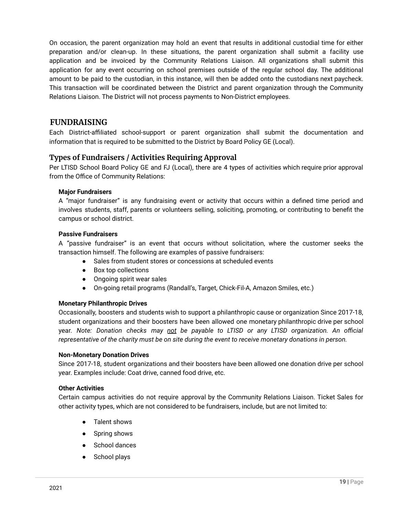Relations Liaison. The District will not process payments to Non-District employees. On occasion, the parent organization may hold an event that results in additional custodial time for either preparation and/or clean-up. In these situations, the parent organization shall submit a facility use application and be invoiced by the Community Relations Liaison. All organizations shall submit this application for any event occurring on school premises outside of the regular school day. The additional amount to be paid to the custodian, in this instance, will then be added onto the custodians next paycheck. This transaction will be coordinated between the District and parent organization through the Community

# <span id="page-18-0"></span>**FUNDRAISING**

Each District-affiliated school-support or parent organization shall submit the documentation and information that is required to be submitted to the District by Board Policy GE (Local).

### <span id="page-18-1"></span>**Types of Fundraisers / Activities Requiring Approval**

<span id="page-18-2"></span>Per LTISD School Board Policy GE and FJ (Local), there are 4 types of activities which require prior approval from the Office of Community Relations:

### **Major Fundraisers**

A "major fundraiser" is any fundraising event or activity that occurs within a defined time period and involves students, staff, parents or volunteers selling, soliciting, promoting, or contributing to benefit the campus or school district.

#### <span id="page-18-3"></span>**Passive Fundraisers**

A "passive fundraiser" is an event that occurs without solicitation, where the customer seeks the transaction himself. The following are examples of passive fundraisers:

- Sales from student stores or concessions at scheduled events
- Box top collections
- Ongoing spirit wear sales
- On-going retail programs (Randall's, Target, Chick-Fil-A, Amazon Smiles, etc.)

### <span id="page-18-4"></span>**Monetary Philanthropic Drives**

Occasionally, boosters and students wish to support a philanthropic cause or organization Since 2017-18, student organizations and their boosters have been allowed one monetary philanthropic drive per school year. *Note: Donation checks may not be payable to LTISD or any LTISD organization. An official representative of the charity must be on site during the event to receive monetary donations in person.*

#### <span id="page-18-5"></span>**Non-Monetary Donation Drives**

Since 2017-18, student organizations and their boosters have been allowed one donation drive per school year. Examples include: Coat drive, canned food drive, etc.

#### <span id="page-18-6"></span>**Other Activities**

Certain campus activities do not require approval by the Community Relations Liaison. Ticket Sales for other activity types, which are not considered to be fundraisers, include, but are not limited to:

- Talent shows
- Spring shows
- School dances
- School plays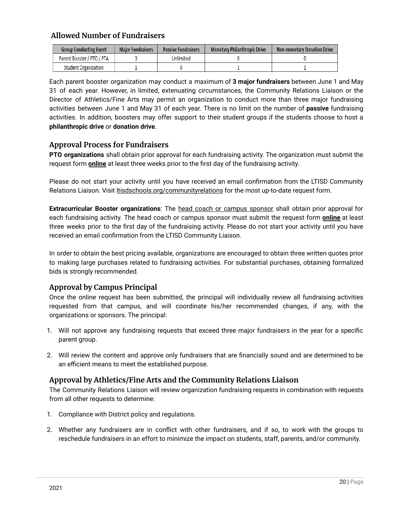# <span id="page-19-0"></span>**Allowed Number of Fundraisers**

| <b>Group Conducting Event</b> | <b>Major Fundraisers</b> | <b>Passive Fundraisers</b> | Monetary Philanthropic Drive | Non-monetary Donation Drive |
|-------------------------------|--------------------------|----------------------------|------------------------------|-----------------------------|
| Parent Booster / PTO / PTA    |                          | Unlimited                  |                              |                             |
| <b>Student Organization</b>   |                          |                            |                              |                             |

Each parent booster organization may conduct a maximum of **3 major fundraisers** between June 1 and May 31 of each year. However, in limited, extenuating circumstances, the Community Relations Liaison or the Director of Athletics/Fine Arts may permit an organization to conduct more than three major fundraising activities between June 1 and May 31 of each year. There is no limit on the number of **passive** fundraising activities. In addition, boosters may offer support to their student groups if the students choose to host a **philanthropic drive** or **donation drive**.

# <span id="page-19-1"></span>**Approval Process for Fundraisers**

**PTO organizations** shall obtain prior approval for each fundraising activity. The organization must submit the request form **online** at least three weeks prior to the first day of the fundraising activity.

Please do not start your activity until you have received an email confirmation from the LTISD Community Relations Liaison. Visit **https://acitor/communityrelations** for the most up-to-date request form.

**Extracurricular Booster organizations**: The head coach or campus sponsor shall obtain prior approval for each fundraising activity. The head coach or campus sponsor must submit the request form **online** at least three weeks prior to the first day of the fundraising activity. Please do not start your activity until you have received an email confirmation from the LTISD Community Liaison.

 bids is strongly recommended. In order to obtain the best pricing available, organizations are encouraged to obtain three written quotes prior to making large purchases related to fundraising activities. For substantial purchases, obtaining formalized

# <span id="page-19-2"></span>**Approval by Campus Principal**

Once the online request has been submitted, the principal will individually review all fundraising activities requested from that campus, and will coordinate his/her recommended changes, if any, with the organizations or sponsors. The principal:

- 1. Will not approve any fundraising requests that exceed three major fundraisers in the year for a specific parent group.
- 2. Will review the content and approve only fundraisers that are financially sound and are determined to be an efficient means to meet the established purpose.

# <span id="page-19-3"></span>**Approval by Athletics/Fine Arts and the Community Relations Liaison**

The Community Relations Liaison will review organization fundraising requests in combination with requests from all other requests to determine:

- 1. Compliance with District policy and regulations.
- 2. Whether any fundraisers are in conflict with other fundraisers, and if so, to work with the groups to reschedule fundraisers in an effort to minimize the impact on students, staff, parents, and/or community.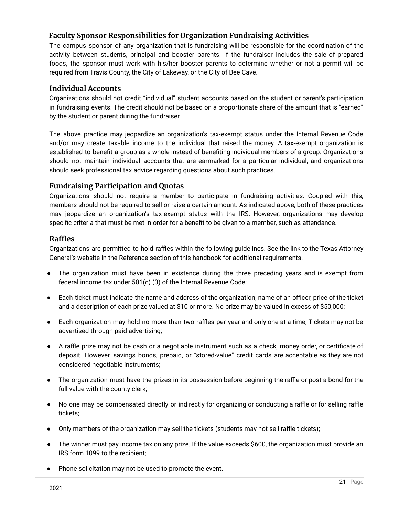# <span id="page-20-0"></span>**Faculty Sponsor Responsibilities for Organization Fundraising Activities**

The campus sponsor of any organization that is fundraising will be responsible for the coordination of the activity between students, principal and booster parents. If the fundraiser includes the sale of prepared foods, the sponsor must work with his/her booster parents to determine whether or not a permit will be required from Travis County, the City of Lakeway, or the City of Bee Cave.

### <span id="page-20-1"></span>**Individual Accounts**

Organizations should not credit "individual" student accounts based on the student or parent's participation in fundraising events. The credit should not be based on a proportionate share of the amount that is "earned" by the student or parent during the fundraiser.

The above practice may jeopardize an organization's tax-exempt status under the Internal Revenue Code and/or may create taxable income to the individual that raised the money. A tax-exempt organization is established to benefit a group as a whole instead of benefiting individual members of a group. Organizations should not maintain individual accounts that are earmarked for a particular individual, and organizations should seek professional tax advice regarding questions about such practices.

# <span id="page-20-2"></span>**Fundraising Participation and Quotas**

Organizations should not require a member to participate in fundraising activities. Coupled with this, members should not be required to sell or raise a certain amount. As indicated above, both of these practices may jeopardize an organization's tax-exempt status with the IRS. However, organizations may develop specific criteria that must be met in order for a benefit to be given to a member, such as attendance.

### <span id="page-20-3"></span>**Raffles**

Organizations are permitted to hold raffles within the following guidelines. See the link to the Texas Attorney General's website in the Reference section of this handbook for additional requirements.

- The organization must have been in existence during the three preceding years and is exempt from federal income tax under 501(c) (3) of the Internal Revenue Code;
- Each ticket must indicate the name and address of the organization, name of an officer, price of the ticket and a description of each prize valued at \$10 or more. No prize may be valued in excess of \$50,000;
- Each organization may hold no more than two raffles per year and only one at a time; Tickets may not be advertised through paid advertising;
- A raffle prize may not be cash or a negotiable instrument such as a check, money order, or certificate of deposit. However, savings bonds, prepaid, or "stored-value" credit cards are acceptable as they are not considered negotiable instruments;
- The organization must have the prizes in its possession before beginning the raffle or post a bond for the full value with the county clerk;
- No one may be compensated directly or indirectly for organizing or conducting a raffle or for selling raffle tickets;
- Only members of the organization may sell the tickets (students may not sell raffle tickets);
- The winner must pay income tax on any prize. If the value exceeds \$600, the organization must provide an IRS form 1099 to the recipient;
- Phone solicitation may not be used to promote the event.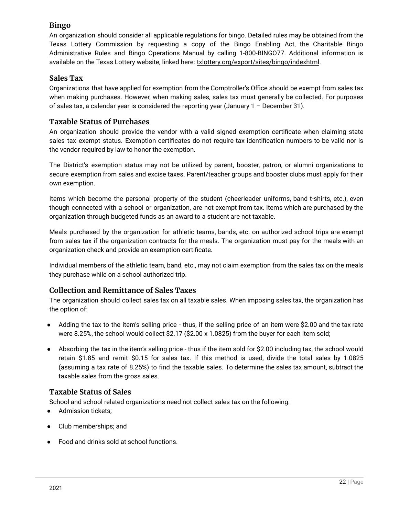# <span id="page-21-0"></span>**Bingo**

An organization should consider all applicable regulations for bingo. Detailed rules may be obtained from the Texas Lottery Commission by requesting a copy of the Bingo Enabling Act, the Charitable Bingo Administrative Rules and Bingo Operations Manual by calling 1-800-BINGO77. Additional information is available on the Texas Lottery website, linked here: [txlottery.org/export/sites/bingo/indexhtml.](http://www.txlottery.org/export/sites/bingo/index.html)

# <span id="page-21-1"></span>**Sales Tax**

Organizations that have applied for exemption from the Comptroller's Office should be exempt from sales tax when making purchases. However, when making sales, sales tax must generally be collected. For purposes of sales tax, a calendar year is considered the reporting year (January 1 – December 31).

# <span id="page-21-2"></span>**Taxable Status of Purchases**

An organization should provide the vendor with a valid signed exemption certificate when claiming state sales tax exempt status. Exemption certificates do not require tax identification numbers to be valid nor is the vendor required by law to honor the exemption.

The District's exemption status may not be utilized by parent, booster, patron, or alumni organizations to secure exemption from sales and excise taxes. Parent/teacher groups and booster clubs must apply for their own exemption.

 organization through budgeted funds as an award to a student are not taxable. Items which become the personal property of the student (cheerleader uniforms, band t-shirts, etc.), even though connected with a school or organization, are not exempt from tax. Items which are purchased by the

Meals purchased by the organization for athletic teams, bands, etc. on authorized school trips are exempt from sales tax if the organization contracts for the meals. The organization must pay for the meals with an organization check and provide an exemption certificate.

Individual members of the athletic team, band, etc., may not claim exemption from the sales tax on the meals they purchase while on a school authorized trip.

# <span id="page-21-3"></span>**Collection and Remittance of Sales Taxes**

The organization should collect sales tax on all taxable sales. When imposing sales tax, the organization has the option of:

- were 8.25%, the school would collect \$2.17 (\$2.00 x 1.0825) from the buyer for each item sold; Adding the tax to the item's selling price - thus, if the selling price of an item were \$2.00 and the tax rate
- Absorbing the tax in the item's selling price thus if the item sold for \$2.00 including tax, the school would retain \$1.85 and remit \$0.15 for sales tax. If this method is used, divide the total sales by 1.0825 (assuming a tax rate of 8.25%) to find the taxable sales. To determine the sales tax amount, subtract the taxable sales from the gross sales.

# <span id="page-21-4"></span>**Taxable Status of Sales**

School and school related organizations need not collect sales tax on the following:

- Admission tickets;
- Club memberships; and
- Food and drinks sold at school functions.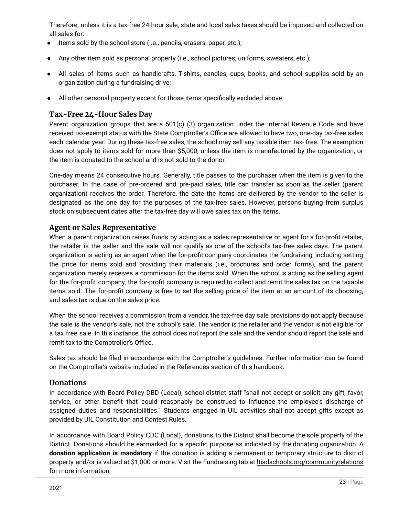Therefore, unless it is a tax-free 24-hour sale, state and local sales taxes should be imposed and collected on all sales for:

- Items sold by the school store (i.e., pencils, erasers, paper, etc.);
- Any other item sold as personal property (i.e., school pictures, uniforms, sweaters, etc.);
- All sales of items such as handicrafts, T-shirts, candles, cups, books, and school supplies sold by an organization during a fundraising drive;
- All other personal property except for those items specifically excluded above.

# <span id="page-22-0"></span>**Tax-Free 24-Hour Sales Day**

Parent organization groups that are a 501(c) (3) organization under the Internal Revenue Code and have received tax-exempt status with the State Comptroller's Office are allowed to have two, one-day tax-free sales each calendar year. During these tax-free sales, the school may sell any taxable item tax- free. The exemption does not apply to items sold for more than \$5,000, unless the item is manufactured by the organization, or the item is donated to the school and is not sold to the donor.

 stock on subsequent dates after the tax-free day will owe sales tax on the items. One-day means 24 consecutive hours. Generally, title passes to the purchaser when the item is given to the purchaser. In the case of pre-ordered and pre-paid sales, title can transfer as soon as the seller (parent organization) receives the order. Therefore, the date the items are delivered by the vendor to the seller is designated as the one day for the purposes of the tax-free sales. However, persons buying from surplus

# <span id="page-22-1"></span>**Agent or Sales Representative**

 and sales tax is due on the sales price. When a parent organization raises funds by acting as a sales representative or agent for a for-profit retailer, the retailer is the seller and the sale will not qualify as one of the school's tax-free sales days. The parent organization is acting as an agent when the for-profit company coordinates the fundraising, including setting the price for items sold and providing their materials (i.e., brochures and order forms), and the parent organization merely receives a commission for the items sold. When the school is acting as the selling agent for the for-profit company, the for-profit company is required to collect and remit the sales tax on the taxable items sold. The for-profit company is free to set the selling price of the item at an amount of its choosing,

When the school receives a commission from a vendor, the tax-free day sale provisions do not apply because the sale is the vendor's sale, not the school's sale. The vendor is the retailer and the vendor is not eligible for a tax free sale. In this instance, the school does not report the sale and the vendor should report the sale and remit tax to the Comptroller's Office.

Sales tax should be filed in accordance with the Comptroller's guidelines. Further information can be found on the Comptroller's website included in the References section of this handbook.

# <span id="page-22-2"></span>**Donations**

In accordance with Board Policy DBD (Local), school district staff "shall not accept or solicit any gift, favor, service, or other benefit that could reasonably be construed to influence the employee's discharge of assigned duties and responsibilities." Students engaged in UIL activities shall not accept gifts except as provided by UIL Constitution and Contest Rules.

In accordance with Board Policy CDC (Local), donations to the District shall become the sole property of the District. Donations should be earmarked for a specific purpose as indicated by the donating organization. A **donation application is mandatory** if the donation is adding a permanent or temporary structure to district property and/or is valued at \$1,000 or more. Visit the Fundraising tab at [ltisdschools.org/communityrelations](https://www.ltisdschools.org/communityrelations) for more information.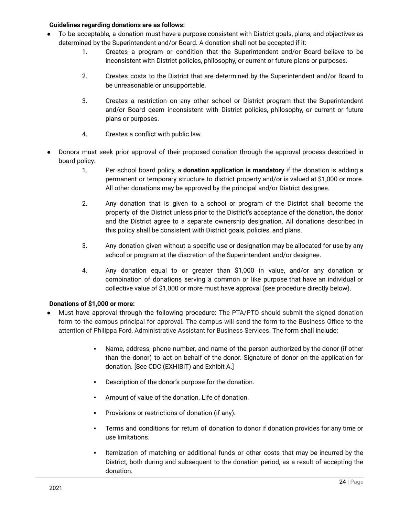### <span id="page-23-0"></span>**Guidelines regarding donations are as follows:**

- To be acceptable, a donation must have a purpose consistent with District goals, plans, and objectives as determined by the Superintendent and/or Board. A donation shall not be accepted if it:
	- 1. Creates a program or condition that the Superintendent and/or Board believe to be inconsistent with District policies, philosophy, or current or future plans or purposes.
	- 2. Creates costs to the District that are determined by the Superintendent and/or Board to be unreasonable or unsupportable.
	- 3. Creates a restriction on any other school or District program that the Superintendent and/or Board deem inconsistent with District policies, philosophy, or current or future plans or purposes.
	- 4. Creates a conflict with public law.
- Donors must seek prior approval of their proposed donation through the approval process described in board policy:
	- 1. Per school board policy, a **donation application is mandatory** if the donation is adding a permanent or temporary structure to district property and/or is valued at \$1,000 or more. All other donations may be approved by the principal and/or District designee.
	- 2. Any donation that is given to a school or program of the District shall become the property of the District unless prior to the District's acceptance of the donation, the donor and the District agree to a separate ownership designation. All donations described in this policy shall be consistent with District goals, policies, and plans.
	- 3. Any donation given without a specific use or designation may be allocated for use by any school or program at the discretion of the Superintendent and/or designee.
	- 4. Any donation equal to or greater than \$1,000 in value, and/or any donation or combination of donations serving a common or like purpose that have an individual or collective value of \$1,000 or more must have approval (see procedure directly below).

### <span id="page-23-1"></span>**Donations of \$1,000 or more:**

- Must have approval through the following procedure: The PTA/PTO should submit the signed donation form to the campus principal for approval. The campus will send the form to the Business Office to the attention of Philippa Ford, Administrative Assistant for Business Services. The form shall include:
	- Name, address, phone number, and name of the person authorized by the donor (if other than the donor) to act on behalf of the donor. Signature of donor on the application for donation. [See CDC (EXHIBIT) and Exhibit A.]
	- Description of the donor's purpose for the donation.
	- Amount of value of the donation. Life of donation.
	- Provisions or restrictions of donation (if any).
	- Terms and conditions for return of donation to donor if donation provides for any time or use limitations.
	- Itemization of matching or additional funds or other costs that may be incurred by the District, both during and subsequent to the donation period, as a result of accepting the donation.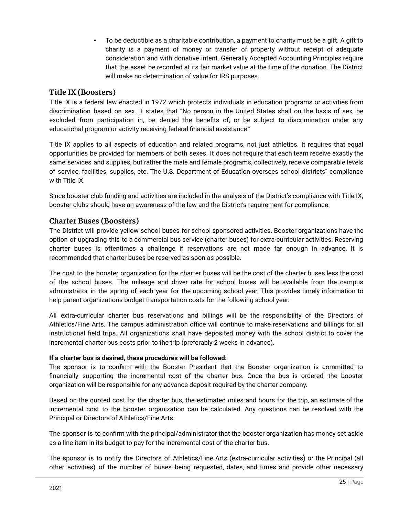To be deductible as a charitable contribution, a payment to charity must be a gift. A gift to charity is a payment of money or transfer of property without receipt of adequate consideration and with donative intent. Generally Accepted Accounting Principles require that the asset be recorded at its fair market value at the time of the donation. The District will make no determination of value for IRS purposes.

### <span id="page-24-0"></span>**Title IX (Boosters)**

Title IX is a federal law enacted in 1972 which protects individuals in education programs or activities from discrimination based on sex. It states that "No person in the United States shall on the basis of sex, be excluded from participation in, be denied the benefits of, or be subject to discrimination under any educational program or activity receiving federal financial assistance."

Title IX applies to all aspects of education and related programs, not just athletics. It requires that equal opportunities be provided for members of both sexes. It does not require that each team receive exactly the same services and supplies, but rather the male and female programs, collectively, receive comparable levels of service, facilities, supplies, etc. The U.S. Department of Education oversees school districts" compliance with Title IX.

Since booster club funding and activities are included in the analysis of the District's compliance with Title IX, booster clubs should have an awareness of the law and the District's requirement for compliance.

### <span id="page-24-1"></span>**Charter Buses (Boosters)**

 recommended that charter buses be reserved as soon as possible. The District will provide yellow school buses for school sponsored activities. Booster organizations have the option of upgrading this to a commercial bus service (charter buses) for extra-curricular activities. Reserving charter buses is oftentimes a challenge if reservations are not made far enough in advance. It is

The cost to the booster organization for the charter buses will be the cost of the charter buses less the cost of the school buses. The mileage and driver rate for school buses will be available from the campus administrator in the spring of each year for the upcoming school year. This provides timely information to help parent organizations budget transportation costs for the following school year.

 incremental charter bus costs prior to the trip (preferably 2 weeks in advance). All extra-curricular charter bus reservations and billings will be the responsibility of the Directors of Athletics/Fine Arts. The campus administration office will continue to make reservations and billings for all instructional field trips. All organizations shall have deposited money with the school district to cover the

### <span id="page-24-2"></span>**If a charter bus is desired, these procedures will be followed:**

The sponsor is to confirm with the Booster President that the Booster organization is committed to financially supporting the incremental cost of the charter bus. Once the bus is ordered, the booster organization will be responsible for any advance deposit required by the charter company.

Based on the quoted cost for the charter bus, the estimated miles and hours for the trip, an estimate of the incremental cost to the booster organization can be calculated. Any questions can be resolved with the Principal or Directors of Athletics/Fine Arts.

The sponsor is to confirm with the principal/administrator that the booster organization has money set aside as a line item in its budget to pay for the incremental cost of the charter bus.

The sponsor is to notify the Directors of Athletics/Fine Arts (extra-curricular activities) or the Principal (all other activities) of the number of buses being requested, dates, and times and provide other necessary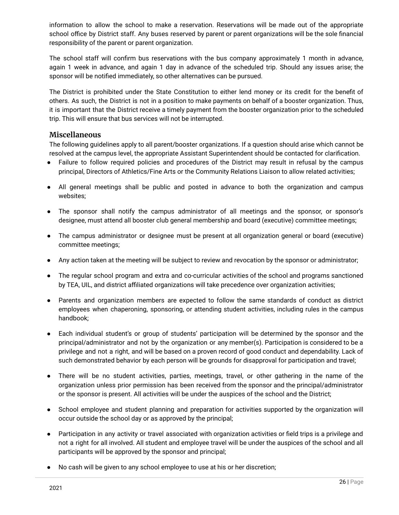information to allow the school to make a reservation. Reservations will be made out of the appropriate school office by District staff. Any buses reserved by parent or parent organizations will be the sole financial responsibility of the parent or parent organization.

The school staff will confirm bus reservations with the bus company approximately 1 month in advance, again 1 week in advance, and again 1 day in advance of the scheduled trip. Should any issues arise; the sponsor will be notified immediately, so other alternatives can be pursued.

 trip. This will ensure that bus services will not be interrupted. The District is prohibited under the State Constitution to either lend money or its credit for the benefit of others. As such, the District is not in a position to make payments on behalf of a booster organization. Thus, it is important that the District receive a timely payment from the booster organization prior to the scheduled

### <span id="page-25-0"></span>**Miscellaneous**

The following guidelines apply to all parent/booster organizations. If a question should arise which cannot be resolved at the campus level, the appropriate Assistant Superintendent should be contacted for clarification.

- Failure to follow required policies and procedures of the District may result in refusal by the campus principal, Directors of Athletics/Fine Arts or the Community Relations Liaison to allow related activities;
- All general meetings shall be public and posted in advance to both the organization and campus websites;
- The sponsor shall notify the campus administrator of all meetings and the sponsor, or sponsor's designee, must attend all booster club general membership and board (executive) committee meetings;
- The campus administrator or designee must be present at all organization general or board (executive) committee meetings;
- Any action taken at the meeting will be subject to review and revocation by the sponsor or administrator;
- The regular school program and extra and co-curricular activities of the school and programs sanctioned by TEA, UIL, and district affiliated organizations will take precedence over organization activities;
- Parents and organization members are expected to follow the same standards of conduct as district employees when chaperoning, sponsoring, or attending student activities, including rules in the campus handbook;
- Each individual student's or group of students' participation will be determined by the sponsor and the principal/administrator and not by the organization or any member(s). Participation is considered to be a privilege and not a right, and will be based on a proven record of good conduct and dependability. Lack of such demonstrated behavior by each person will be grounds for disapproval for participation and travel;
- There will be no student activities, parties, meetings, travel, or other gathering in the name of the organization unless prior permission has been received from the sponsor and the principal/administrator or the sponsor is present. All activities will be under the auspices of the school and the District;
- School employee and student planning and preparation for activities supported by the organization will occur outside the school day or as approved by the principal;
- Participation in any activity or travel associated with organization activities or field trips is a privilege and not a right for all involved. All student and employee travel will be under the auspices of the school and all participants will be approved by the sponsor and principal;
- No cash will be given to any school employee to use at his or her discretion;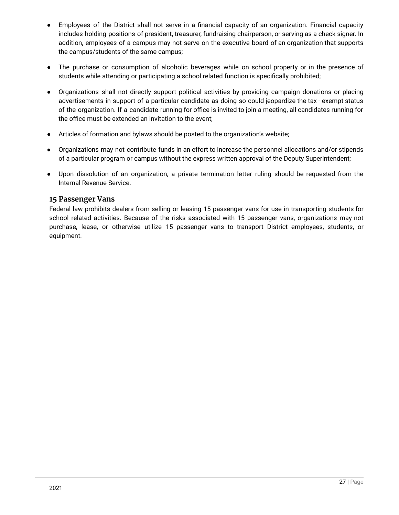- Employees of the District shall not serve in a financial capacity of an organization. Financial capacity includes holding positions of president, treasurer, fundraising chairperson, or serving as a check signer. In addition, employees of a campus may not serve on the executive board of an organization that supports the campus/students of the same campus;
- The purchase or consumption of alcoholic beverages while on school property or in the presence of students while attending or participating a school related function is specifically prohibited;
- Organizations shall not directly support political activities by providing campaign donations or placing advertisements in support of a particular candidate as doing so could jeopardize the tax - exempt status of the organization. If a candidate running for office is invited to join a meeting, all candidates running for the office must be extended an invitation to the event;
- Articles of formation and bylaws should be posted to the organization's website;
- Organizations may not contribute funds in an effort to increase the personnel allocations and/or stipends of a particular program or campus without the express written approval of the Deputy Superintendent;
- Upon dissolution of an organization, a private termination letter ruling should be requested from the Internal Revenue Service.

### <span id="page-26-0"></span>**15 Passenger Vans**

Federal law prohibits dealers from selling or leasing 15 passenger vans for use in transporting students for school related activities. Because of the risks associated with 15 passenger vans, organizations may not purchase, lease, or otherwise utilize 15 passenger vans to transport District employees, students, or equipment.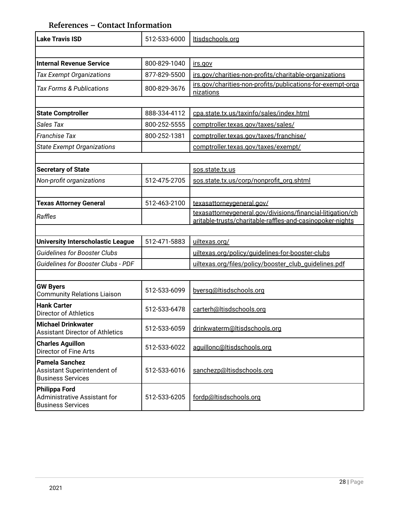# **References – Contact Information**

<span id="page-27-0"></span>

| <b>Lake Travis ISD</b>                                                           | 512-533-6000 | Itisdschools.org                                                                                                        |
|----------------------------------------------------------------------------------|--------------|-------------------------------------------------------------------------------------------------------------------------|
|                                                                                  |              |                                                                                                                         |
| <b>Internal Revenue Service</b>                                                  | 800-829-1040 | irs.gov                                                                                                                 |
| <b>Tax Exempt Organizations</b>                                                  | 877-829-5500 | irs.gov/charities-non-profits/charitable-organizations                                                                  |
| <b>Tax Forms &amp; Publications</b>                                              | 800-829-3676 | irs.gov/charities-non-profits/publications-for-exempt-orga<br>nizations                                                 |
|                                                                                  |              |                                                                                                                         |
| <b>State Comptroller</b>                                                         | 888-334-4112 | cpa.state.tx.us/taxinfo/sales/index.html                                                                                |
| Sales Tax                                                                        | 800-252-5555 | comptroller.texas.gov/taxes/sales/                                                                                      |
| <b>Franchise Tax</b>                                                             | 800-252-1381 | comptroller.texas.gov/taxes/franchise/                                                                                  |
| <b>State Exempt Organizations</b>                                                |              | comptroller.texas.gov/taxes/exempt/                                                                                     |
|                                                                                  |              |                                                                                                                         |
| <b>Secretary of State</b>                                                        |              | sos.state.tx.us                                                                                                         |
| Non-profit organizations                                                         | 512-475-2705 | sos.state.tx.us/corp/nonprofit_org.shtml                                                                                |
|                                                                                  |              |                                                                                                                         |
| <b>Texas Attorney General</b>                                                    | 512-463-2100 | texasattorneygeneral.gov/                                                                                               |
| Raffles                                                                          |              | texasattorneygeneral.gov/divisions/financial-litigation/ch<br>aritable-trusts/charitable-raffles-and-casinopoker-nights |
|                                                                                  |              |                                                                                                                         |
| <b>University Interscholastic League</b>                                         | 512-471-5883 | uiltexas.org/                                                                                                           |
| <b>Guidelines for Booster Clubs</b>                                              |              | uiltexas.org/policy/guidelines-for-booster-clubs                                                                        |
| <b>Guidelines for Booster Clubs - PDF</b>                                        |              | uiltexas.org/files/policy/booster_club_quidelines.pdf                                                                   |
|                                                                                  |              |                                                                                                                         |
| <b>GW Byers</b><br><b>Community Relations Liaison</b>                            | 512-533-6099 | byersg@ltisdschools.org                                                                                                 |
| <b>Hank Carter</b><br><b>Director of Athletics</b>                               | 512-533-6478 | carterh@ltisdschools.org                                                                                                |
| <b>Michael Drinkwater</b><br><b>Assistant Director of Athletics</b>              | 512-533-6059 | drinkwaterm@ltisdschools.org                                                                                            |
| <b>Charles Aguillon</b><br><b>Director of Fine Arts</b>                          | 512-533-6022 | aguillonc@ltisdschools.org                                                                                              |
| <b>Pamela Sanchez</b><br>Assistant Superintendent of<br><b>Business Services</b> | 512-533-6016 | sanchezp@ltisdschools.org                                                                                               |
| <b>Philippa Ford</b><br>Administrative Assistant for<br><b>Business Services</b> | 512-533-6205 | fordp@ltisdschools.org                                                                                                  |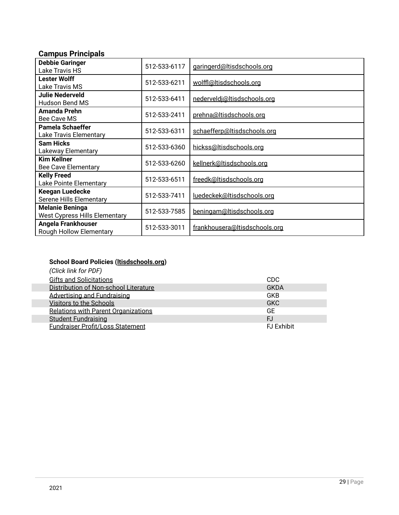# **Campus Principals**

| <b>Debbie Garinger</b><br>Lake Travis HS                       | 512-533-6117 | garingerd@ltisdschools.org    |
|----------------------------------------------------------------|--------------|-------------------------------|
| <b>Lester Wolff</b><br>Lake Travis MS                          | 512-533-6211 | wolffl@Itisdschools.org       |
| <b>Julie Nederveld</b><br>Hudson Bend MS                       | 512-533-6411 | nederveldi@ltisdschools.org   |
| <b>Amanda Prehn</b><br>Bee Cave MS                             | 512-533-2411 | prehna@Itisdschools.org       |
| Pamela Schaeffer<br><b>Lake Travis Elementary</b>              | 512-533-6311 | schaefferp@ltisdschools.org   |
| <b>Sam Hicks</b><br>Lakeway Elementary                         | 512-533-6360 | hickss@ltisdschools.org       |
| <b>Kim Kellner</b><br><b>Bee Cave Elementary</b>               | 512-533-6260 | kellnerk@ltisdschools.org     |
| <b>Kelly Freed</b><br>Lake Pointe Elementary                   | 512-533-6511 | freedk@ltisdschools.org       |
| <b>Keegan Luedecke</b><br>Serene Hills Elementary              | 512-533-7411 | luedeckek@ltisdschools.org    |
| <b>Melanie Beninga</b><br><b>West Cypress Hills Elementary</b> | 512-533-7585 | beningam@ltisdschools.org     |
| Angela Frankhouser<br><b>Rough Hollow Elementary</b>           | 512-533-3011 | frankhousera@Itisdschools.org |

# <span id="page-28-0"></span>**School Board Policies ([ltisdschools.org](https://pol.tasb.org/Home/Index/1154))**

| (Click link for PDF)                  |                    |
|---------------------------------------|--------------------|
| <b>Gifts and Solicitations</b>        | CDC.               |
| Distribution of Non-school Literature | <b>GKDA</b>        |
| <b>Advertising and Fundraising</b>    | <b>GKB</b>         |
| Visitors to the Schools               | <b>GKC</b>         |
| Relations with Parent Organizations   | GЕ                 |
| <b>Student Fundraising</b>            | FJ                 |
| Fundraiser Profit/Loss Statement      | <b>F.J Exhibit</b> |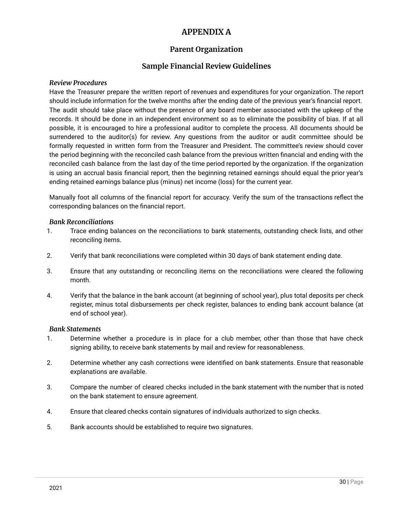# **APPENDIX A**

# **Parent Organization**

# **Sample Financial Review Guidelines**

### <span id="page-29-3"></span><span id="page-29-2"></span><span id="page-29-1"></span><span id="page-29-0"></span>*Review Procedures*

 should include information for the twelve months after the ending date of the previous year's financial report. Have the Treasurer prepare the written report of revenues and expenditures for your organization. The report The audit should take place without the presence of any board member associated with the upkeep of the records. It should be done in an independent environment so as to eliminate the possibility of bias. If at all possible, it is encouraged to hire a professional auditor to complete the process. All documents should be surrendered to the auditor(s) for review. Any questions from the auditor or audit committee should be formally requested in written form from the Treasurer and President. The committee's review should cover the period beginning with the reconciled cash balance from the previous written financial and ending with the reconciled cash balance from the last day of the time period reported by the organization. If the organization is using an accrual basis financial report, then the beginning retained earnings should equal the prior year's ending retained earnings balance plus (minus) net income (loss) for the current year.

Manually foot all columns of the financial report for accuracy. Verify the sum of the transactions reflect the corresponding balances on the financial report.

### <span id="page-29-4"></span>*Bank Reconciliations*

- 1. Trace ending balances on the reconciliations to bank statements, outstanding check lists, and other reconciling items.
- 2. Verify that bank reconciliations were completed within 30 days of bank statement ending date.
- 3. Ensure that any outstanding or reconciling items on the reconciliations were cleared the following month.
- 4. Verify that the balance in the bank account (at beginning of school year), plus total deposits per check register, minus total disbursements per check register, balances to ending bank account balance (at end of school year).

### <span id="page-29-5"></span>*Bank Statements*

- 1. Determine whether a procedure is in place for a club member, other than those that have check signing ability, to receive bank statements by mail and review for reasonableness.
- 2. Determine whether any cash corrections were identified on bank statements. Ensure that reasonable explanations are available.
- 3. Compare the number of cleared checks included in the bank statement with the number that is noted on the bank statement to ensure agreement.
- 4. Ensure that cleared checks contain signatures of individuals authorized to sign checks.
- 5. Bank accounts should be established to require two signatures.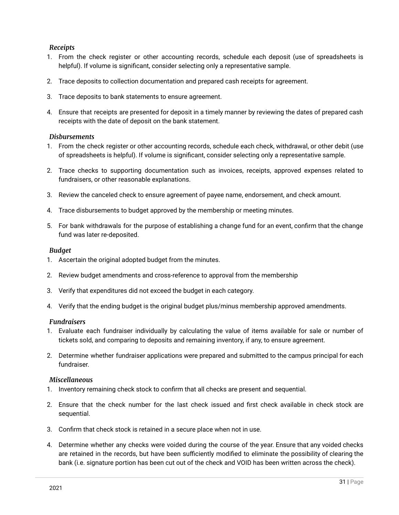### <span id="page-30-0"></span>*Receipts*

- 1. From the check register or other accounting records, schedule each deposit (use of spreadsheets is helpful). If volume is significant, consider selecting only a representative sample.
- 2. Trace deposits to collection documentation and prepared cash receipts for agreement.
- 3. Trace deposits to bank statements to ensure agreement.
- 4. Ensure that receipts are presented for deposit in a timely manner by reviewing the dates of prepared cash receipts with the date of deposit on the bank statement.

### <span id="page-30-1"></span>*Disbursements*

- of spreadsheets is helpful). If volume is significant, consider selecting only a representative sample. 1. From the check register or other accounting records, schedule each check, withdrawal, or other debit (use
- 2. Trace checks to supporting documentation such as invoices, receipts, approved expenses related to fundraisers, or other reasonable explanations.
- 3. Review the canceled check to ensure agreement of payee name, endorsement, and check amount.
- 4. Trace disbursements to budget approved by the membership or meeting minutes.
- 5. For bank withdrawals for the purpose of establishing a change fund for an event, confirm that the change fund was later re-deposited.

### <span id="page-30-2"></span>*Budget*

- 1. Ascertain the original adopted budget from the minutes.
- 2. Review budget amendments and cross-reference to approval from the membership
- 3. Verify that expenditures did not exceed the budget in each category.
- 4. Verify that the ending budget is the original budget plus/minus membership approved amendments.

### <span id="page-30-3"></span>*Fundraisers*

- 1. Evaluate each fundraiser individually by calculating the value of items available for sale or number of tickets sold, and comparing to deposits and remaining inventory, if any, to ensure agreement.
- 2. Determine whether fundraiser applications were prepared and submitted to the campus principal for each fundraiser.

### <span id="page-30-4"></span>*Miscellaneous*

- 1. Inventory remaining check stock to confirm that all checks are present and sequential.
- 2. Ensure that the check number for the last check issued and first check available in check stock are sequential.
- 3. Confirm that check stock is retained in a secure place when not in use.
- 4. Determine whether any checks were voided during the course of the year. Ensure that any voided checks are retained in the records, but have been sufficiently modified to eliminate the possibility of clearing the bank (i.e. signature portion has been cut out of the check and VOID has been written across the check).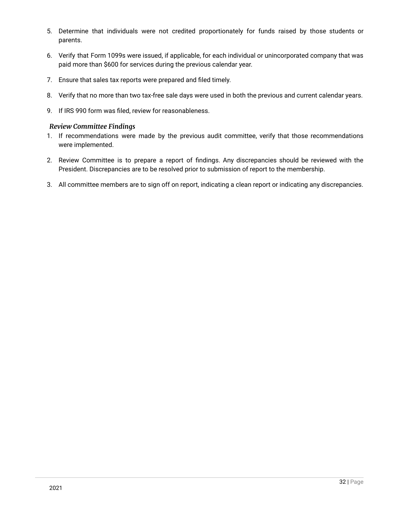- 5. Determine that individuals were not credited proportionately for funds raised by those students or parents.
- 6. Verify that Form 1099s were issued, if applicable, for each individual or unincorporated company that was paid more than \$600 for services during the previous calendar year.
- 7. Ensure that sales tax reports were prepared and filed timely.
- 8. Verify that no more than two tax-free sale days were used in both the previous and current calendar years.
- 9. If IRS 990 form was filed, review for reasonableness.

### <span id="page-31-0"></span>*Review Committee Findings*

- 1. If recommendations were made by the previous audit committee, verify that those recommendations were implemented.
- 2. Review Committee is to prepare a report of findings. Any discrepancies should be reviewed with the President. Discrepancies are to be resolved prior to submission of report to the membership.
- 3. All committee members are to sign off on report, indicating a clean report or indicating any discrepancies.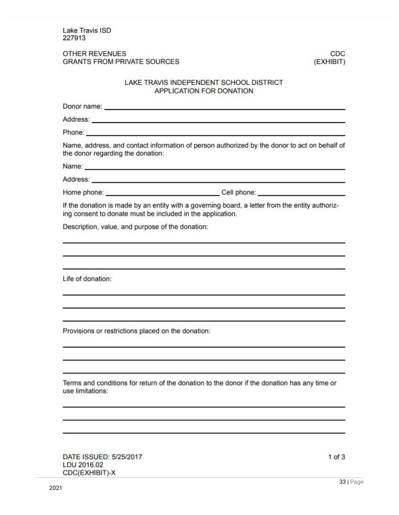Lake Travis ISD 227913

### OTHER REVENUES GRANTS FROM PRIVATE SOURCES

CDC. (EXHIBIT)

### LAKE TRAVIS INDEPENDENT SCHOOL DISTRICT APPLICATION FOR DONATION

| Donor name: Donor name:                                                                                                                                                                                                        |                                                                                                                                                                                                                               |
|--------------------------------------------------------------------------------------------------------------------------------------------------------------------------------------------------------------------------------|-------------------------------------------------------------------------------------------------------------------------------------------------------------------------------------------------------------------------------|
| Address: Note and the set of the set of the set of the set of the set of the set of the set of the set of the set of the set of the set of the set of the set of the set of the set of the set of the set of the set of the se |                                                                                                                                                                                                                               |
| Phone: <b>Example 2018</b> Phone: <b>Example 2018</b>                                                                                                                                                                          |                                                                                                                                                                                                                               |
| the donor regarding the donation:                                                                                                                                                                                              | Name, address, and contact information of person authorized by the donor to act on behalf of                                                                                                                                  |
|                                                                                                                                                                                                                                | Name: Name: Name: Name: Name: Name: Name: Name: Name: Name: Name: Name: Name: Name: Name: Name: Name: Name: Name: Name: Name: Name: Name: Name: Name: Name: Name: Name: Name: Name: Name: Name: Name: Name: Name: Name: Name: |
| Address: Address: Address: Address: Address: Address: Address: Address: Address: Address: Address: A                                                                                                                           |                                                                                                                                                                                                                               |
|                                                                                                                                                                                                                                |                                                                                                                                                                                                                               |
| ing consent to donate must be included in the application.                                                                                                                                                                     | If the donation is made by an entity with a governing board, a letter from the entity authoriz-                                                                                                                               |
| Description, value, and purpose of the donation:                                                                                                                                                                               |                                                                                                                                                                                                                               |
| Life of donation:                                                                                                                                                                                                              |                                                                                                                                                                                                                               |
|                                                                                                                                                                                                                                |                                                                                                                                                                                                                               |
| Provisions or restrictions placed on the donation:                                                                                                                                                                             |                                                                                                                                                                                                                               |
| use limitations:                                                                                                                                                                                                               | Terms and conditions for return of the donation to the donor if the donation has any time or                                                                                                                                  |
|                                                                                                                                                                                                                                |                                                                                                                                                                                                                               |
| DATE ISSUED: 5/25/2017                                                                                                                                                                                                         | $1$ of $3$                                                                                                                                                                                                                    |

LDU 2016.02 CDC(EXHIBIT)-X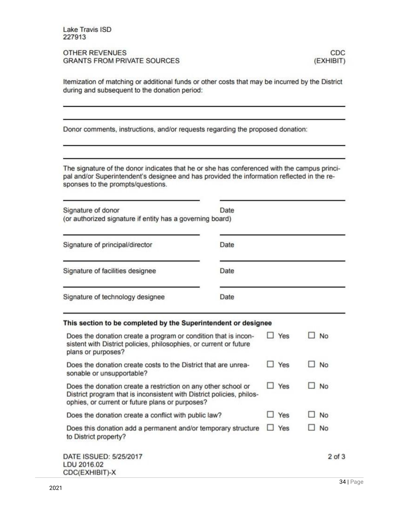Lake Travis ISD 227913

OTHER REVENUES **GRANTS FROM PRIVATE SOURCES** 

Itemization of matching or additional funds or other costs that may be incurred by the District during and subsequent to the donation period:

Donor comments, instructions, and/or requests regarding the proposed donation:

The signature of the donor indicates that he or she has conferenced with the campus principal and/or Superintendent's designee and has provided the information reflected in the responses to the prompts/questions.

| Signature of donor<br>(or authorized signature if entity has a governing board)                                                                                                           | Date       |            |            |
|-------------------------------------------------------------------------------------------------------------------------------------------------------------------------------------------|------------|------------|------------|
| Signature of principal/director                                                                                                                                                           | Date       |            |            |
| Signature of facilities designee                                                                                                                                                          | Date       |            |            |
| Signature of technology designee                                                                                                                                                          | Date       |            |            |
| This section to be completed by the Superintendent or designee                                                                                                                            |            |            |            |
| Does the donation create a program or condition that is incon-<br>sistent with District policies, philosophies, or current or future<br>plans or purposes?                                |            | Yes        | No         |
| Does the donation create costs to the District that are unrea-<br>sonable or unsupportable?                                                                                               |            | Yes        | No         |
| Does the donation create a restriction on any other school or<br>District program that is inconsistent with District policies, philos-<br>ophies, or current or future plans or purposes? | $\Box$ Yes | No         |            |
| Does the donation create a conflict with public law?                                                                                                                                      |            | Yes        | No         |
| Does this donation add a permanent and/or temporary structure<br>to District property?                                                                                                    |            | $\Box$ Yes | No         |
| DATE ISSUED: 5/25/2017                                                                                                                                                                    |            |            | $2$ of $3$ |